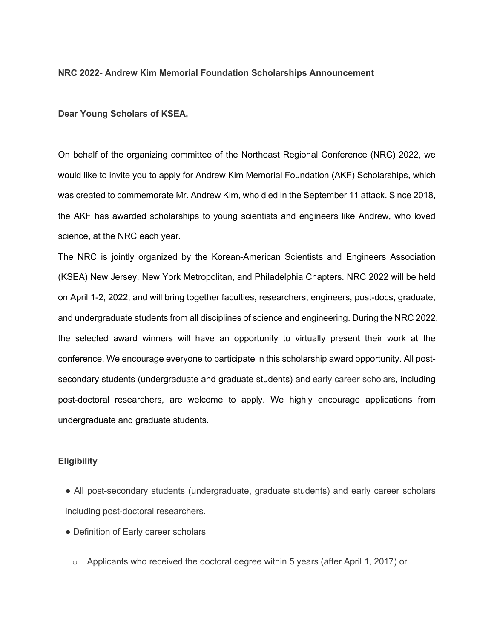#### **NRC 2022- Andrew Kim Memorial Foundation Scholarships Announcement**

**Dear Young Scholars of KSEA,**

On behalf of the organizing committee of the Northeast Regional Conference (NRC) 2022, we would like to invite you to apply for Andrew Kim Memorial Foundation (AKF) Scholarships, which was created to commemorate Mr. Andrew Kim, who died in the September 11 attack. Since 2018, the AKF has awarded scholarships to young scientists and engineers like Andrew, who loved science, at the NRC each year.

The NRC is jointly organized by the Korean-American Scientists and Engineers Association (KSEA) New Jersey, New York Metropolitan, and Philadelphia Chapters. NRC 2022 will be held on April 1-2, 2022, and will bring together faculties, researchers, engineers, post-docs, graduate, and undergraduate students from all disciplines of science and engineering. During the NRC 2022, the selected award winners will have an opportunity to virtually present their work at the conference. We encourage everyone to participate in this scholarship award opportunity. All postsecondary students (undergraduate and graduate students) and early career scholars, including post-doctoral researchers, are welcome to apply. We highly encourage applications from undergraduate and graduate students.

### **Eligibility**

- All post-secondary students (undergraduate, graduate students) and early career scholars including post-doctoral researchers.
- Definition of Early career scholars
	- $\circ$  Applicants who received the doctoral degree within 5 years (after April 1, 2017) or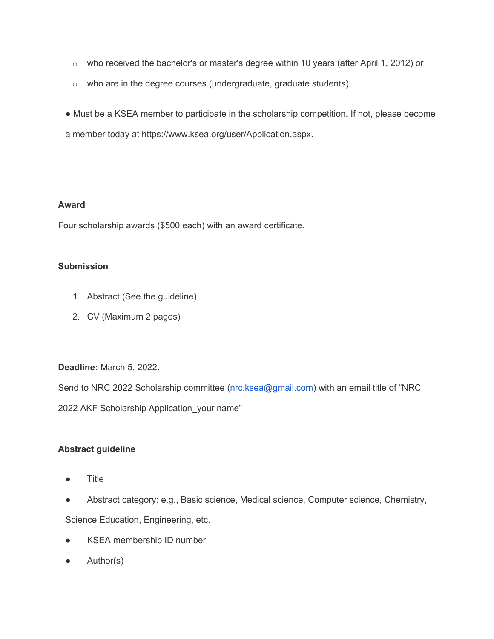- $\circ$  who received the bachelor's or master's degree within 10 years (after April 1, 2012) or
- $\circ$  who are in the degree courses (undergraduate, graduate students)
- Must be a KSEA member to participate in the scholarship competition. If not, please become a member today at https://www.ksea.org/user/Application.aspx.

### **Award**

Four scholarship awards (\$500 each) with an award certificate.

# **Submission**

- 1. Abstract (See the guideline)
- 2. CV (Maximum 2 pages)

# **Deadline:** March 5, 2022.

Send to NRC 2022 Scholarship committee (nrc.ksea@gmail.com) with an email title of "NRC 2022 AKF Scholarship Application\_your name"

# **Abstract guideline**

- **Title**
- Abstract category: e.g., Basic science, Medical science, Computer science, Chemistry,

Science Education, Engineering, etc.

- KSEA membership ID number
- Author(s)